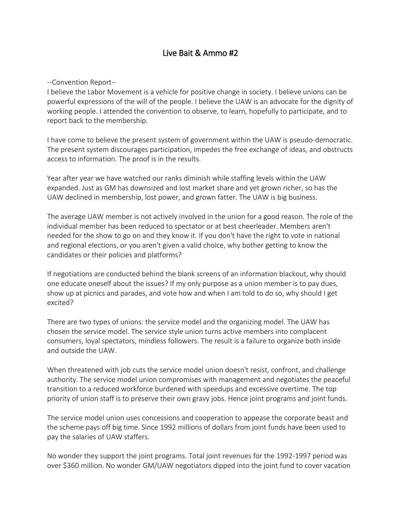## Live Bait & Ammo #2

--Convention Report--

I believe the Labor Movement is a vehicle for positive change in society. I believe unions can be powerful expressions of the will of the people. I believe the UAW is an advocate for the dignity of working people. I attended the convention to observe, to learn, hopefully to participate, and to report back to the membership.

I have come to believe the present system of government within the UAW is pseudo-democratic. The present system discourages participation, impedes the free exchange of ideas, and obstructs access to information. The proof is in the results.

Year after year we have watched our ranks diminish while staffing levels within the UAW expanded. Just as GM has downsized and lost market share and yet grown richer, so has the UAW declined in membership, lost power, and grown fatter. The UAW is big business.

The average UAW member is not actively involved in the union for a good reason. The role of the individual member has been reduced to spectator or at best cheerleader. Members aren't needed for the show to go on and they know it. If you don't have the right to vote in national and regional elections, or you aren't given a valid choice, why bother getting to know the candidates or their policies and platforms?

If negotiations are conducted behind the blank screens of an information blackout, why should one educate oneself about the issues? If my only purpose as a union member is to pay dues, show up at picnics and parades, and vote how and when I am told to do so, why should I get excited?

There are two types of unions: the service model and the organizing model. The UAW has chosen the service model. The service style union turns active members into complacent consumers, loyal spectators, mindless followers. The result is a failure to organize both inside and outside the UAW.

When threatened with job cuts the service model union doesn't resist, confront, and challenge authority. The service model union compromises with management and negotiates the peaceful transition to a reduced workforce burdened with speedups and excessive overtime. The top priority of union staff is to preserve their own gravy jobs. Hence joint programs and joint funds.

The service model union uses concessions and cooperation to appease the corporate beast and the scheme pays off big time. Since 1992 millions of dollars from joint funds have been used to pay the salaries of UAW staffers.

No wonder they support the joint programs. Total joint revenues for the 1992-1997 period was over \$360 million. No wonder GM/UAW negotiators dipped into the joint fund to cover vacation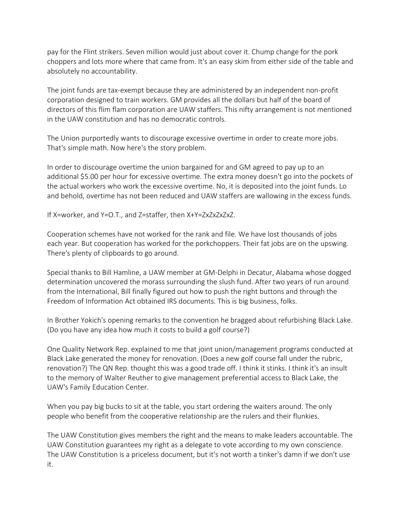pay for the Flint strikers. Seven million would just about cover it. Chump change for the pork choppers and lots more where that came from. It's an easy skim from either side of the table and absolutely no accountability.

The joint funds are tax-exempt because they are administered by an independent non-profit corporation designed to train workers. GM provides all the dollars but half of the board of directors of this flim flam corporation are UAW staffers. This nifty arrangement is not mentioned in the UAW constitution and has no democratic controls.

The Union purportedly wants to discourage excessive overtime in order to create more jobs. That's simple math. Now here's the story problem.

In order to discourage overtime the union bargained for and GM agreed to pay up to an additional \$5.00 per hour for excessive overtime. The extra money doesn't go into the pockets of the actual workers who work the excessive overtime. No, it is deposited into the joint funds. Lo and behold, overtime has not been reduced and UAW staffers are wallowing in the excess funds.

If X=worker, and Y=O.T., and Z=staffer, then X+Y=ZxZxZxZxZ.

Cooperation schemes have not worked for the rank and file. We have lost thousands of jobs each year. But cooperation has worked for the porkchoppers. Their fat jobs are on the upswing. There's plenty of clipboards to go around.

Special thanks to Bill Hamline, a UAW member at GM-Delphi in Decatur, Alabama whose dogged determination uncovered the morass surrounding the slush fund. After two years of run around from the International, Bill finally figured out how to push the right buttons and through the Freedom of Information Act obtained IRS documents. This is big business, folks.

In Brother Yokich's opening remarks to the convention he bragged about refurbishing Black Lake. (Do you have any idea how much it costs to build a golf course?)

One Quality Network Rep. explained to me that joint union/management programs conducted at Black Lake generated the money for renovation. (Does a new golf course fall under the rubric, renovation?) The QN Rep. thought this was a good trade off. I think it stinks. I think it's an insult to the memory of Walter Reuther to give management preferential access to Black Lake, the UAW's Family Education Center.

When you pay big bucks to sit at the table, you start ordering the waiters around. The only people who benefit from the cooperative relationship are the rulers and their flunkies.

The UAW Constitution gives members the right and the means to make leaders accountable. The UAW Constitution guarantees my right as a delegate to vote according to my own conscience. The UAW Constitution is a priceless document, but it's not worth a tinker's damn if we don't use it.